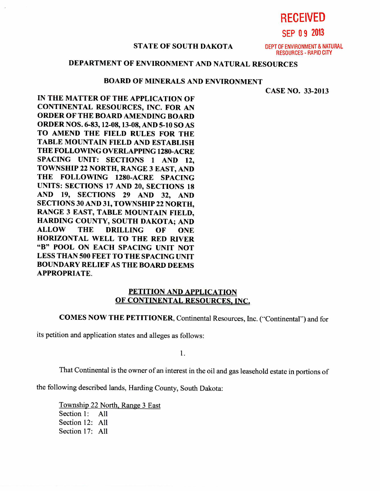**RECEIVED** 

**SEP 0 9 2013** 

#### **STATE OF SOUTH DAKOTA** DEPT OF ENVIRONMENT & NATURAL

RESOURCES - RAPID CITY

# **DEPARTMENT OF ENVIRONMENT AND NATURAL RESOURCES**

### **BOARD OF MINERALS AND ENVIRONMENT**

**CASE NO. 33-2013** 

**IN THE MATTER OF THE APPLICATION OF CONTINENTAL RESOURCES, INC. FOR AN ORDER OF THE BOARD AMENDING BOARD ORDER NOS. 6-83, 12-08, 13-08, AND 5-10 SO AS TO AMEND THE FIELD RULES FOR THE TABLE MOUNTAIN FIELD AND ESTABLISH THE FOLLOWING OVERLAPPING 1280-ACRE SPACING UNIT: SECTIONS 1 AND 12, TOWNSHIP 22 NORTH, RANGE 3 EAST, AND THE FOLLOWING 1280-ACRE SPACING UNITS: SECTIONS 17 AND 20, SECTIONS 18 AND 19, SECTIONS 29 AND 32, AND SECTIONS 30 AND 31, TOWNSHIP 22 NORTH, RANGE 3 EAST, TABLE MOUNTAIN FIELD, HARDING COUNTY, SOUTH DAKOTA; AND ALLOW THE DRILLING OF ONE HORIZONTAL WELL TO THE RED RIVER "B" POOL ON EACH SPACING UNIT NOT LESS THAN 500 FEET TO THE SPACING UNIT BOUNDARY RELIEF AS THE BOARD DEEMS APPROPRIATE.** 

### **PETITION AND APPLICATION OF CONTINENTAL RESOURCES, INC,**

**COMES NOW THE PETITIONER, Continental Resources, Inc. ("Continental") and for** 

its petition and application states and alleges as follows:

1.

That Continental is the owner of an interest in the oil and gas leasehold estate in portions of

the following described lands, Harding County, South Dakota:

Township 22 North, Range 3 East Section 1: All Section 12: All Section 17: All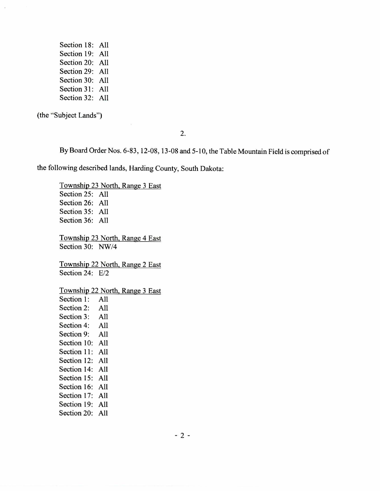Section 18: All Section 19: All Section 20: All Section 29: All Section 30: All Section 31: All Section 32: All

(the "Subject Lands")

2.

By Board Order Nos. 6-83, 12-08, 13-08 and 5-10, the Table Mountain Field is comprised of

the following described lands, Harding County, South Dakota:

Township 23 North, Range 3 East Section 25: All Section 26: All Section 35: All Section 36: All Township 23 North, Range 4 East Section 30: NW/4 Township 22 North, Range 2 East Section 24: E/2 Township 22 North, Range 3 East Section 1: All Section 2: All Section 3: All Section 4: All Section 9: All Section 10: All Section 11: All Section 12: All Section 14: All Section 15: All Section 16: All Section 17: All Section 19: All Section 20: All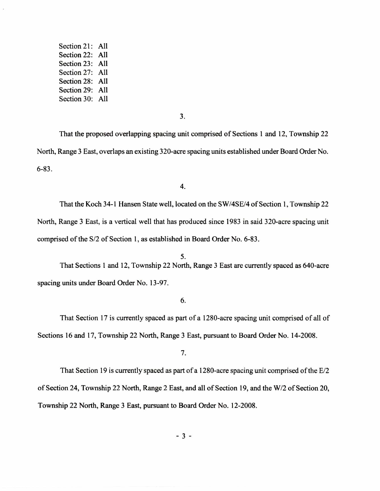Section 21: All Section 22: All Section 23: All Section 27: All Section 28: All Section 29: All Section 30: All

3.

That the proposed overlapping spacing unit comprised of Sections 1 and 12, Township 22 North, Range 3 East, overlaps an existing 320-acre spacing units established under Board Order No. 6-83.

4.

That the Koch 34-1 Hansen State well, located on the SW/4SE/4 of Section 1, Township 22 North, Range 3 East, is a vertical well that has produced since 1983 in said 320-acre spacing unit comprised of the S/2 of Section 1, as established in Board Order No. 6-83.

5. That Sections 1 and 12, Township 22 North, Range 3 East are currently spaced as 640-acre spacing units under Board Order No. 13-97.

## 6.

That Section 17 is currently spaced as part of a 1280-acre spacing unit comprised of all of Sections 16 and 17, Township 22 North, Range 3 East, pursuant to Board Order No. 14-2008.

7.

That Section 19 is currently spaced as part of a 1280-acre spacing unit comprised of the E/2 of Section 24, Township 22 North, Range 2 East, and all of Section 19, and the W/2 of Section 20, Township 22 North, Range 3 East, pursuant to Board Order No. 12-2008.

 $-3 -$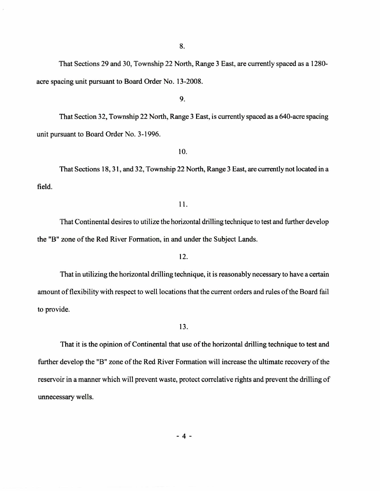8.

That Sections 29 and 30, Township 22 North, Range 3 East, are currently spaced as a 1280 acre spacing unit pursuant to Board Order No. 13-2008.

9.

That Section 32, Township 22 North, Range 3 East, is currently spaced as a 640-acre spacing unit pursuant to Board Order No. 3-1996.

10.

That Sections 18, 31, and 32, Township 22 North, Range 3 East, are currently not located in a field.

#### 11.

That Continental desires to utilize the horizontal drilling technique to test and further develop the "B" zone of the Red River Formation, in and under the Subject Lands.

12.

That in utilizing the horizontal drilling technique, it is reasonably necessary to have a certain amount of flexibility with respect to well locations that the current orders and rules of the Board fail to provide.

13.

That it is the opinion of Continental that use of the horizontal drilling technique to test and further develop the "B" zone of the Red River Formation will increase the ultimate recovery of the reservoir in a manner which will prevent waste, protect correlative rights and prevent the drilling of unnecessary wells.

 $-4-$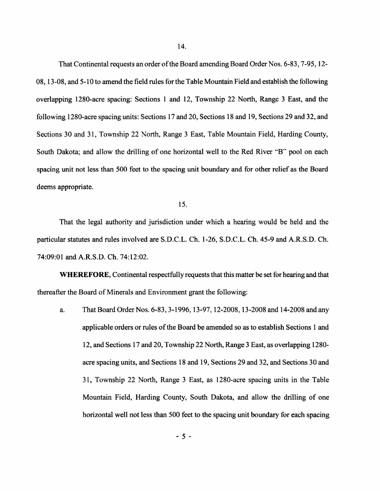That Continental requests an order of the Board amending Board Order Nos. 6-83, 7-95, 12- 08, 13-08, and 5-10 to amend the field rules for the Table Mountain Field and establish the following overlapping 1280-acre spacing: Sections 1 and 12, Township 22 North, Range 3 East, and the following 1280-acre spacing units: Sections 17 and 20, Sections 18 and 19, Sections 29 and 32, and Sections 30 and 31, Township 22 North, Range 3 East, Table Mountain Field, Harding County, South Dakota; and allow the drilling of one horizontal well to the Red River "B" pool on each spacing unit not less than 500 feet to the spacing unit boundary and for other relief as the Board deems appropriate.

15.

That the legal authority and jurisdiction under which a hearing would be held and the particular statutes and rules involved are S.D.C.L. Ch. 1-26, S.D.C.L. Ch. 45-9 and A.R.S.D. Ch. 74:09:01 and A.R.S.D. Ch. 74:12:02.

**WHEREFORE,** Continental respectfully requests that this matter be set for hearing and that thereafter the Board of Minerals and Environment grant the following:

a. That Board Order Nos. 6-83, 3-1996, 13-97, 12-2008, 13-2008 and 14-2008 and any applicable orders or rules of the Board be amended so as to establish Sections 1 and 12, and Sections 17 and 20, Township 22 North, Range 3 East, as overlapping 1280 acre spacing units, and Sections 18 and 19, Sections 29 and 32, and Sections 30 and 31, Township 22 North, Range 3 East, as 1280-acre spacing units in the Table Mountain Field, Harding County, South Dakota, and allow the drilling of one horizontal well not less than 500 feet to the spacing unit boundary for each spacing

 $-5 -$